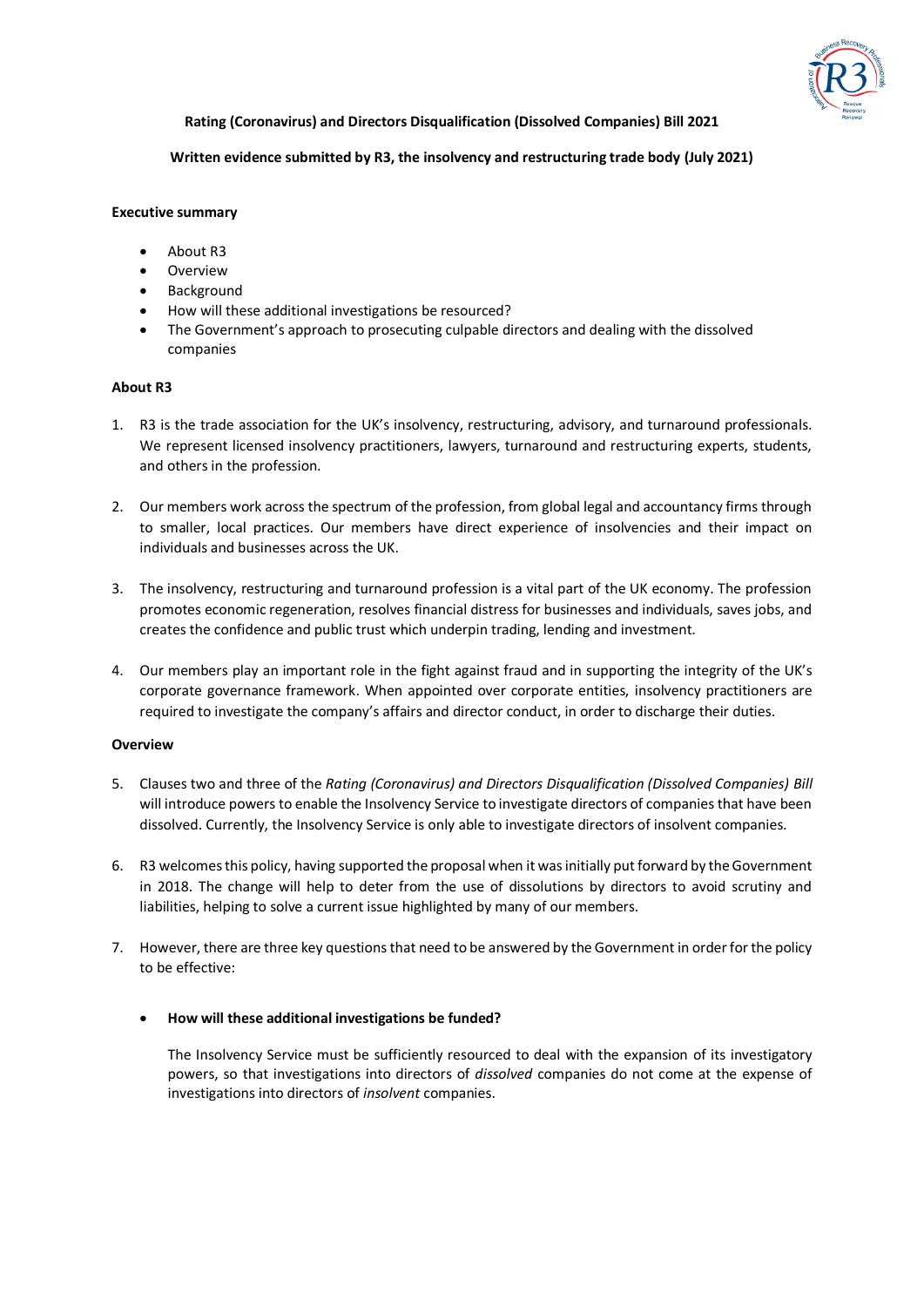

**Rating (Coronavirus) and Directors Disqualification (Dissolved Companies) Bill 2021**

## **Written evidence submitted by R3, the insolvency and restructuring trade body (July 2021)**

### **Executive summary**

- About R3
- Overview
- Background
- How will these additional investigations be resourced?
- The Government's approach to prosecuting culpable directors and dealing with the dissolved companies

#### **About R3**

- 1. R3 is the trade association for the UK's insolvency, restructuring, advisory, and turnaround professionals. We represent licensed insolvency practitioners, lawyers, turnaround and restructuring experts, students, and others in the profession.
- 2. Our members work across the spectrum of the profession, from global legal and accountancy firms through to smaller, local practices. Our members have direct experience of insolvencies and their impact on individuals and businesses across the UK.
- 3. The insolvency, restructuring and turnaround profession is a vital part of the UK economy. The profession promotes economic regeneration, resolves financial distress for businesses and individuals, saves jobs, and creates the confidence and public trust which underpin trading, lending and investment.
- 4. Our members play an important role in the fight against fraud and in supporting the integrity of the UK's corporate governance framework. When appointed over corporate entities, insolvency practitioners are required to investigate the company's affairs and director conduct, in order to discharge their duties.

### **Overview**

- 5. Clauses two and three of the *Rating (Coronavirus) and Directors Disqualification (Dissolved Companies) Bill* will introduce powers to enable the Insolvency Service to investigate directors of companies that have been dissolved. Currently, the Insolvency Service is only able to investigate directors of insolvent companies.
- 6. R3 welcomes this policy, having supported the proposal when it was initially put forward by the Government in 2018. The change will help to deter from the use of dissolutions by directors to avoid scrutiny and liabilities, helping to solve a current issue highlighted by many of our members.
- 7. However, there are three key questions that need to be answered by the Government in order for the policy to be effective:

### • **How will these additional investigations be funded?**

The Insolvency Service must be sufficiently resourced to deal with the expansion of its investigatory powers, so that investigations into directors of *dissolved* companies do not come at the expense of investigations into directors of *insolvent* companies.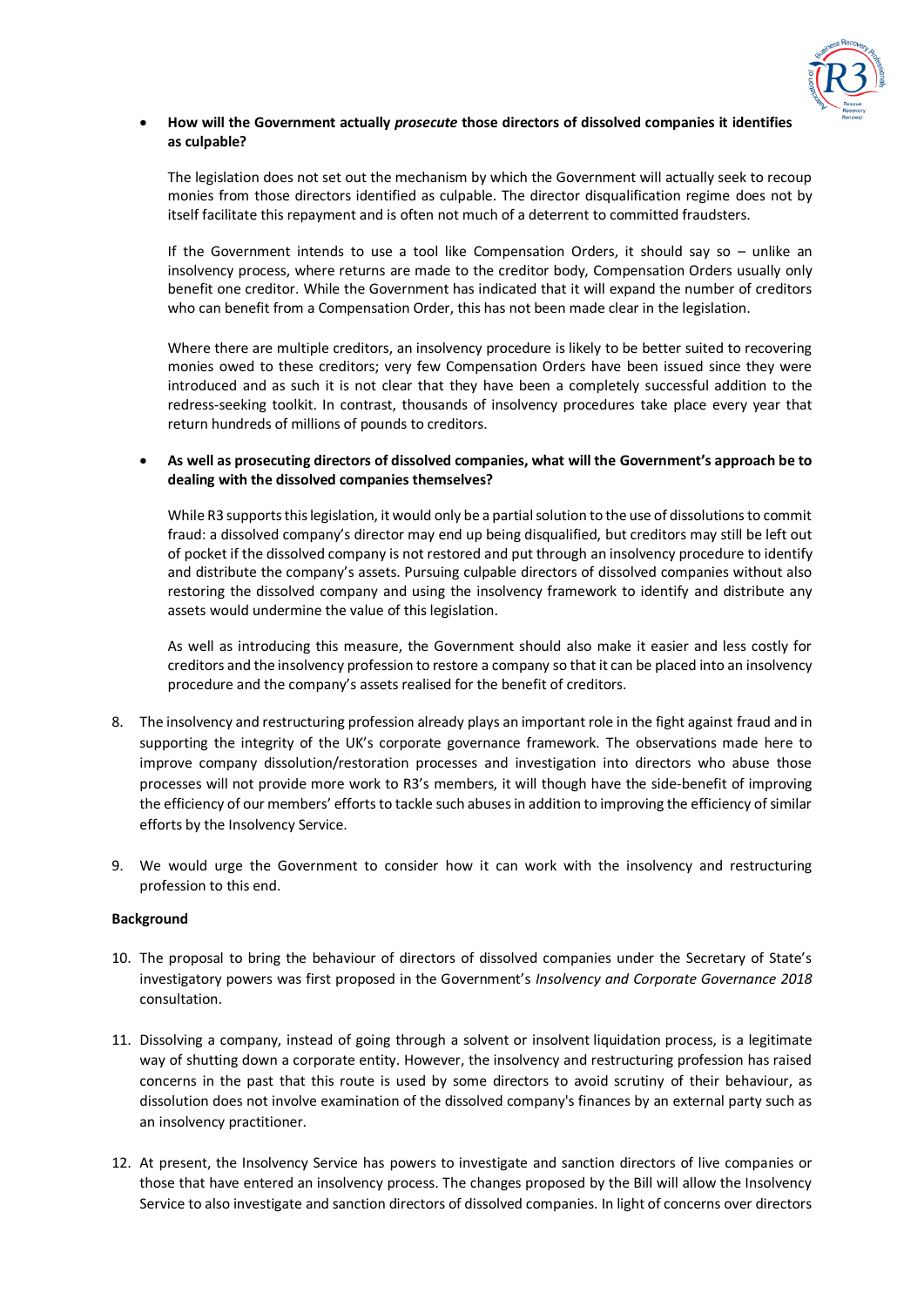

## • **How will the Government actually** *prosecute* **those directors of dissolved companies it identifies as culpable?**

The legislation does not set out the mechanism by which the Government will actually seek to recoup monies from those directors identified as culpable. The director disqualification regime does not by itself facilitate this repayment and is often not much of a deterrent to committed fraudsters.

If the Government intends to use a tool like Compensation Orders, it should say so – unlike an insolvency process, where returns are made to the creditor body, Compensation Orders usually only benefit one creditor. While the Government has indicated that it will expand the number of creditors who can benefit from a Compensation Order, this has not been made clear in the legislation.

Where there are multiple creditors, an insolvency procedure is likely to be better suited to recovering monies owed to these creditors; very few Compensation Orders have been issued since they were introduced and as such it is not clear that they have been a completely successful addition to the redress-seeking toolkit. In contrast, thousands of insolvency procedures take place every year that return hundreds of millions of pounds to creditors.

# • **As well as prosecuting directors of dissolved companies, what will the Government's approach be to dealing with the dissolved companies themselves?**

While R3 supports this legislation, it would only be a partial solution to the use of dissolutions to commit fraud: a dissolved company's director may end up being disqualified, but creditors may still be left out of pocket if the dissolved company is not restored and put through an insolvency procedure to identify and distribute the company's assets. Pursuing culpable directors of dissolved companies without also restoring the dissolved company and using the insolvency framework to identify and distribute any assets would undermine the value of this legislation.

As well as introducing this measure, the Government should also make it easier and less costly for creditors and the insolvency profession to restore a company so that it can be placed into an insolvency procedure and the company's assets realised for the benefit of creditors.

- 8. The insolvency and restructuring profession already plays an important role in the fight against fraud and in supporting the integrity of the UK's corporate governance framework. The observations made here to improve company dissolution/restoration processes and investigation into directors who abuse those processes will not provide more work to R3's members, it will though have the side-benefit of improving the efficiency of our members' efforts to tackle such abuses in addition to improving the efficiency of similar efforts by the Insolvency Service.
- 9. We would urge the Government to consider how it can work with the insolvency and restructuring profession to this end.

### **Background**

- 10. The proposal to bring the behaviour of directors of dissolved companies under the Secretary of State's investigatory powers was first proposed in the Government's *Insolvency and Corporate Governance 2018* consultation.
- 11. Dissolving a company, instead of going through a solvent or insolvent liquidation process, is a legitimate way of shutting down a corporate entity. However, the insolvency and restructuring profession has raised concerns in the past that this route is used by some directors to avoid scrutiny of their behaviour, as dissolution does not involve examination of the dissolved company's finances by an external party such as an insolvency practitioner.
- 12. At present, the Insolvency Service has powers to investigate and sanction directors of live companies or those that have entered an insolvency process. The changes proposed by the Bill will allow the Insolvency Service to also investigate and sanction directors of dissolved companies. In light of concerns over directors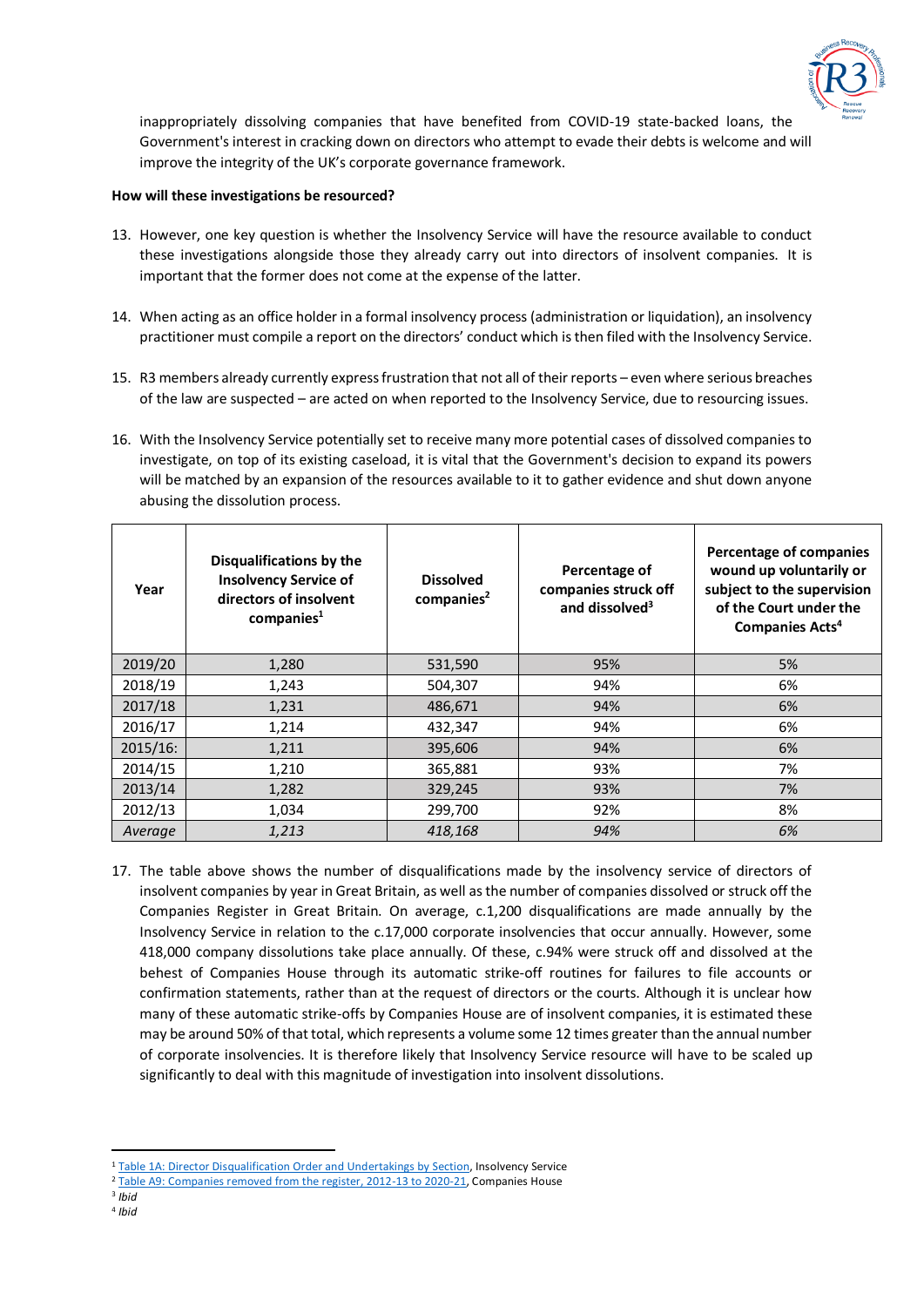

inappropriately dissolving companies that have benefited from COVID-19 state-backed loans, the Government's interest in cracking down on directors who attempt to evade their debts is welcome and will improve the integrity of the UK's corporate governance framework.

## **How will these investigations be resourced?**

- 13. However, one key question is whether the Insolvency Service will have the resource available to conduct these investigations alongside those they already carry out into directors of insolvent companies. It is important that the former does not come at the expense of the latter.
- 14. When acting as an office holder in a formal insolvency process (administration or liquidation), an insolvency practitioner must compile a report on the directors' conduct which is then filed with the Insolvency Service.
- 15. R3 members already currently express frustration that not all of their reports even where serious breaches of the law are suspected – are acted on when reported to the Insolvency Service, due to resourcing issues.
- 16. With the Insolvency Service potentially set to receive many more potential cases of dissolved companies to investigate, on top of its existing caseload, it is vital that the Government's decision to expand its powers will be matched by an expansion of the resources available to it to gather evidence and shut down anyone abusing the dissolution process.

| Year        | Disqualifications by the<br><b>Insolvency Service of</b><br>directors of insolvent<br>comparies <sup>1</sup> | <b>Dissolved</b><br>companies <sup>2</sup> | Percentage of<br>companies struck off<br>and dissolved <sup>3</sup> | Percentage of companies<br>wound up voluntarily or<br>subject to the supervision<br>of the Court under the<br>Companies Acts <sup>4</sup> |
|-------------|--------------------------------------------------------------------------------------------------------------|--------------------------------------------|---------------------------------------------------------------------|-------------------------------------------------------------------------------------------------------------------------------------------|
| 2019/20     | 1,280                                                                                                        | 531,590                                    | 95%                                                                 | 5%                                                                                                                                        |
| 2018/19     | 1,243                                                                                                        | 504,307                                    | 94%                                                                 | 6%                                                                                                                                        |
| 2017/18     | 1,231                                                                                                        | 486,671                                    | 94%                                                                 | 6%                                                                                                                                        |
| 2016/17     | 1,214                                                                                                        | 432,347                                    | 94%                                                                 | 6%                                                                                                                                        |
| $2015/16$ : | 1,211                                                                                                        | 395,606                                    | 94%                                                                 | 6%                                                                                                                                        |
| 2014/15     | 1,210                                                                                                        | 365,881                                    | 93%                                                                 | 7%                                                                                                                                        |
| 2013/14     | 1,282                                                                                                        | 329,245                                    | 93%                                                                 | 7%                                                                                                                                        |
| 2012/13     | 1,034                                                                                                        | 299,700                                    | 92%                                                                 | 8%                                                                                                                                        |
| Average     | 1,213                                                                                                        | 418,168                                    | 94%                                                                 | 6%                                                                                                                                        |

17. The table above shows the number of disqualifications made by the insolvency service of directors of insolvent companies by year in Great Britain, as well as the number of companies dissolved or struck off the Companies Register in Great Britain. On average, c.1,200 disqualifications are made annually by the Insolvency Service in relation to the c.17,000 corporate insolvencies that occur annually. However, some 418,000 company dissolutions take place annually. Of these, c.94% were struck off and dissolved at the behest of Companies House through its automatic strike-off routines for failures to file accounts or confirmation statements, rather than at the request of directors or the courts. Although it is unclear how many of these automatic strike-offs by Companies House are of insolvent companies, it is estimated these may be around 50% of that total, which represents a volume some 12 times greater than the annual number of corporate insolvencies. It is therefore likely that Insolvency Service resource will have to be scaled up significantly to deal with this magnitude of investigation into insolvent dissolutions.

<sup>&</sup>lt;sup>1</sup> [Table 1A: Director Disqualification Order and Undertakings by Section,](https://assets.publishing.service.gov.uk/government/uploads/system/uploads/attachment_data/file/979521/Data_Tables_in_Excel__xlsx__Format_-_Insolvency_Service_Enforcement_Outcomes_2020-21.xlsx) Insolvency Service

<sup>&</sup>lt;sup>2</sup> [Table A9: Companies removed from the register, 2012-13 to 2020-21,](https://assets.publishing.service.gov.uk/government/uploads/system/uploads/attachment_data/file/995469/Companies_Register_Activities_2021.xlsx) Companies House

<sup>3</sup> *Ibid* 4 *Ibid*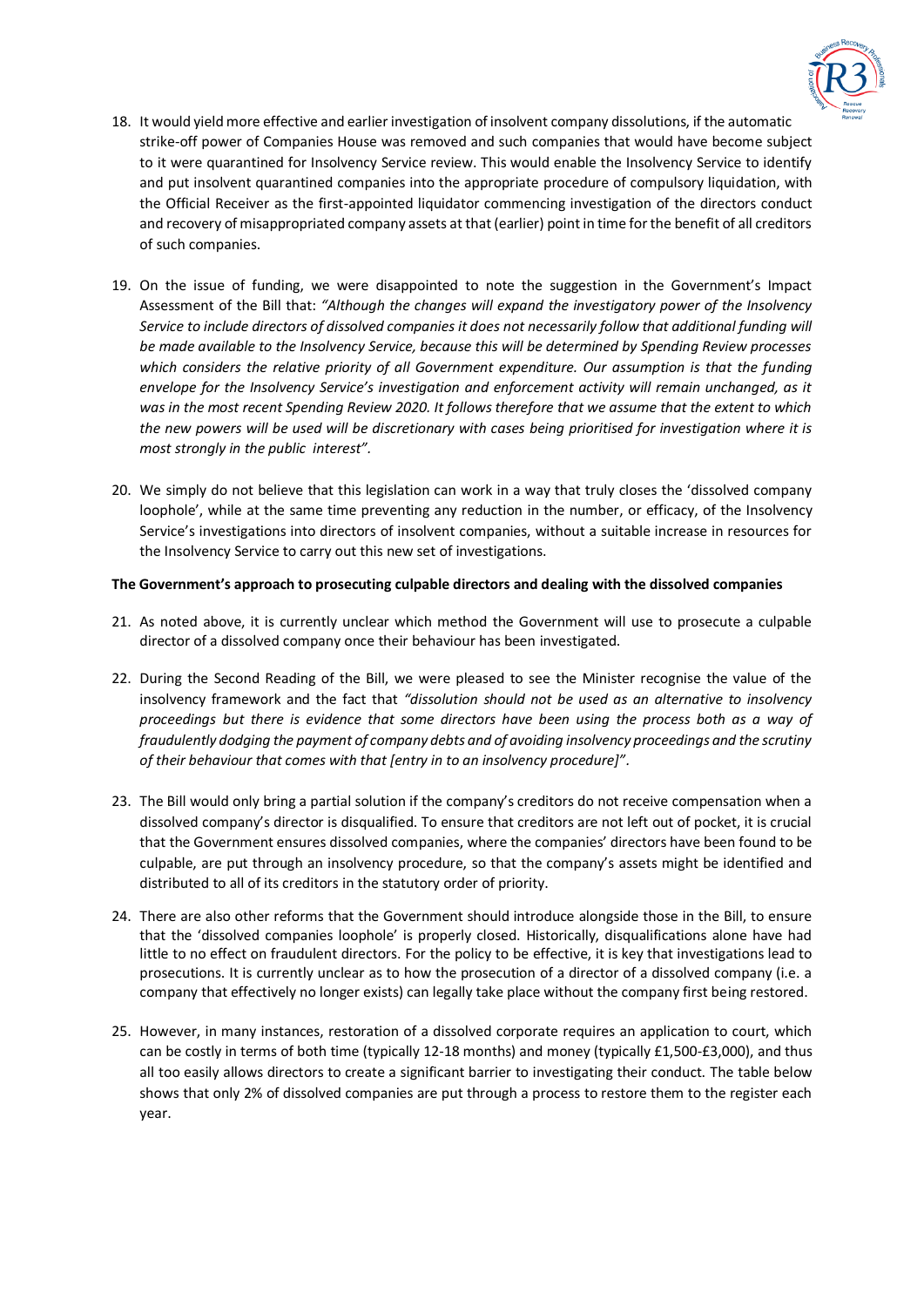

- 18. It would yield more effective and earlier investigation of insolvent company dissolutions, if the automatic strike-off power of Companies House was removed and such companies that would have become subject to it were quarantined for Insolvency Service review. This would enable the Insolvency Service to identify and put insolvent quarantined companies into the appropriate procedure of compulsory liquidation, with the Official Receiver as the first-appointed liquidator commencing investigation of the directors conduct and recovery of misappropriated company assets at that (earlier) point in time for the benefit of all creditors of such companies.
- 19. On the issue of funding, we were disappointed to note the suggestion in the Government's Impact Assessment of the Bill that: *"Although the changes will expand the investigatory power of the Insolvency Service to include directors of dissolved companies it does not necessarily follow that additional funding will be made available to the Insolvency Service, because this will be determined by Spending Review processes which considers the relative priority of all Government expenditure. Our assumption is that the funding envelope for the Insolvency Service's investigation and enforcement activity will remain unchanged, as it was in the most recent Spending Review 2020. It follows therefore that we assume that the extent to which the new powers will be used will be discretionary with cases being prioritised for investigation where it is most strongly in the public interest".*
- 20. We simply do not believe that this legislation can work in a way that truly closes the 'dissolved company loophole', while at the same time preventing any reduction in the number, or efficacy, of the Insolvency Service's investigations into directors of insolvent companies, without a suitable increase in resources for the Insolvency Service to carry out this new set of investigations.

### **The Government's approach to prosecuting culpable directors and dealing with the dissolved companies**

- 21. As noted above, it is currently unclear which method the Government will use to prosecute a culpable director of a dissolved company once their behaviour has been investigated.
- 22. During the Second Reading of the Bill, we were pleased to see the Minister recognise the value of the insolvency framework and the fact that *"dissolution should not be used as an alternative to insolvency proceedings but there is evidence that some directors have been using the process both as a way of fraudulently dodging the payment of company debts and of avoiding insolvency proceedings and the scrutiny of their behaviour that comes with that [entry in to an insolvency procedure]".*
- 23. The Bill would only bring a partial solution if the company's creditors do not receive compensation when a dissolved company's director is disqualified. To ensure that creditors are not left out of pocket, it is crucial that the Government ensures dissolved companies, where the companies' directors have been found to be culpable, are put through an insolvency procedure, so that the company's assets might be identified and distributed to all of its creditors in the statutory order of priority.
- 24. There are also other reforms that the Government should introduce alongside those in the Bill, to ensure that the 'dissolved companies loophole' is properly closed. Historically, disqualifications alone have had little to no effect on fraudulent directors. For the policy to be effective, it is key that investigations lead to prosecutions. It is currently unclear as to how the prosecution of a director of a dissolved company (i.e. a company that effectively no longer exists) can legally take place without the company first being restored.
- 25. However, in many instances, restoration of a dissolved corporate requires an application to court, which can be costly in terms of both time (typically 12-18 months) and money (typically £1,500-£3,000), and thus all too easily allows directors to create a significant barrier to investigating their conduct. The table below shows that only 2% of dissolved companies are put through a process to restore them to the register each year.